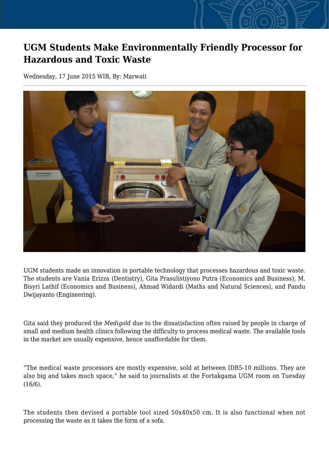## **UGM Students Make Environmentally Friendly Processor for Hazardous and Toxic Waste**

Wednesday, 17 June 2015 WIB, By: Marwati



UGM students made an innovation in portable technology that processes hazardous and toxic waste. The students are Vania Erizza (Dentistry), Gita Prasulistiyono Putra (Economics and Business), M. Bisyri Lathif (Economics and Business), Ahmad Widardi (Maths and Natural Sciences), and Pandu Dwijayanto (Engineering).

Gita said they produced the *Medigold* due to the dissatisfaction often raised by people in charge of small and medium health clinics following the difficulty to process medical waste. The available tools in the market are usually expensive, hence unaffordable for them.

"The medical waste processors are mostly expensive, sold at between IDR5-10 millions. They are also big and takes much space," he said to journalists at the Fortakgama UGM room on Tuesday (16/6).

The students then devised a portable tool sized 50x40x50 cm. It is also functional when not processing the waste as it takes the form of a sofa.